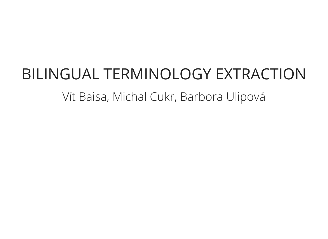## BILINGUAL TERMINOLOGY EXTRACTION Vít Baisa, Michal Cukr, Barbora Ulipová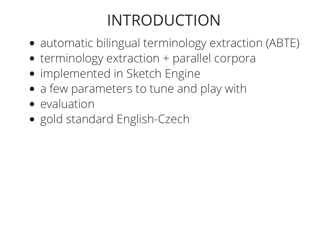## INTRODUCTION

- automatic bilingual terminology extraction (ABTE)
- terminology extraction + parallel corpora
- implemented in Sketch Engine
- a few parameters to tune and play with
- evaluation
- gold standard English-Czech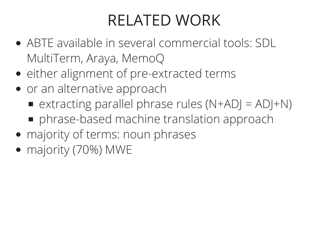### RELATED WORK

- ABTE available in several commercial tools: SDL MultiTerm, Araya, MemoQ
- either alignment of pre-extracted terms
- or an alternative approach
	- extracting parallel phrase rules  $(N+AD) = AD + N$
	- phrase-based machine translation approach
- majority of terms: noun phrases
- majority (70%) MWE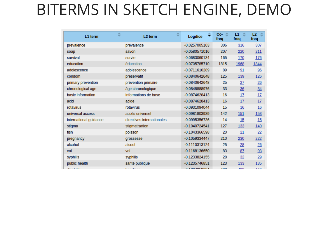#### BITERMS IN SKETCH ENGINE, DEMO

| L1 term                | ዹ<br>-<br>L <sub>2</sub> term | ┻<br>≑<br>-<br>Logdice | Co-<br>-≙<br>freq | $\Rightarrow$<br>L1<br>freq | L2<br>$\Rightarrow$<br>freq |
|------------------------|-------------------------------|------------------------|-------------------|-----------------------------|-----------------------------|
| prevalence             | prévalence                    | $-0.0257005103$        | 306               | 316                         | 307                         |
| soap                   | savon                         | $-0.0580571016$        | 207               | 220                         | 211                         |
| survival               | survie                        | $-0.0683060134$        | 165               | 170                         | 176                         |
| education              | éducation                     | $-0.0705785710$        | 1815              | 1968                        | 1844                        |
| adolescence            | adolescence                   | $-0.0711610289$        | 89                | 91                          | 96                          |
| condom                 | préservatif                   | $-0.0840642648$        | 125               | 139                         | 126                         |
| primary prevention     | prévention primaire           | $-0.0840642648$        | 25                | 27                          | 26                          |
| chronological age      | âge chronologique             | $-0.0848888976$        | 33                | 36                          | 34                          |
| basic information      | informations de base          | $-0.0874628413$        | 16                | 17                          | 17                          |
| acid                   | acide                         | $-0.0874628413$        | 16                | 17                          | 17                          |
| rotavirus              | rotavirus                     | $-0.0931094044$        | 15                | 16                          | 16                          |
| universal access       | accès universel               | $-0.0981803939$        | 142               | <u>151</u>                  | 153                         |
| international guidance | directives internationales    | $-0.0995356736$        | 14                | 15                          | 15                          |
| stigma                 | stigmatisation                | $-0.1040724541$        | 127               | 133                         | 140                         |
| fish                   | poisson                       | $-0.1043366598$        | 20                | 21                          | 22                          |
| pregnancy              | grossesse                     | $-0.1059334447$        | 210               | 230                         | 222                         |
| alcohol                | alcool                        | $-0.1110313124$        | 25                | 28                          | 26                          |
| vol                    | vol                           | $-0.1168136650$        | 83                | 87                          | 93                          |
| syphilis               | syphilis                      | $-0.1233824155$        | 28                | 32                          | 29                          |
| public health          | santé publique                | $-0.1235746851$        | 123               | 133                         | 135                         |
| والمقاتلة سالسا سائله  | مستورك والمستور والمنا        | 0.4007000004           | $\sum_{i=1}^{n}$  | $\overline{AB}$             | 4.475                       |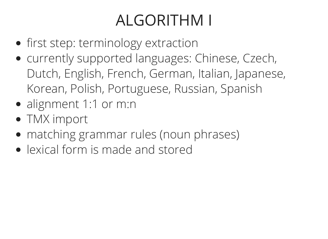## ALGORITHM I

- **•** first step: terminology extraction
- currently supported languages: Chinese, Czech, Dutch, English, French, German, Italian, Japanese, Korean, Polish, Portuguese, Russian, Spanish
- alignment 1:1 or m:n
- TMX import
- matching grammar rules (noun phrases)
- lexical form is made and stored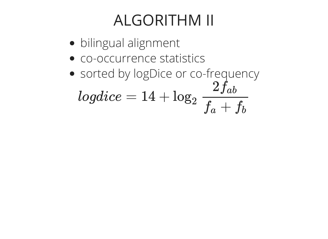#### ALGORITHM II

- bilingual alignment
- co-occurrence statistics
- sorted by logDice or co-frequency  $logdice = 14 + log_2$  $2f_{ab}$  $\overline{f_a+f_b}$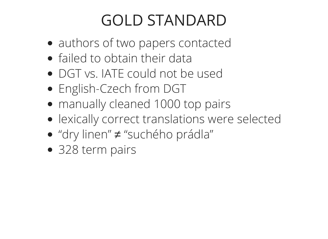## GOLD STANDARD

- authors of two papers contacted
- failed to obtain their data
- DGT vs. IATE could not be used
- English-Czech from DGT
- manually cleaned 1000 top pairs
- lexically correct translations were selected
- "dry linen" ≠ "suchého prádla"
- 328 term pairs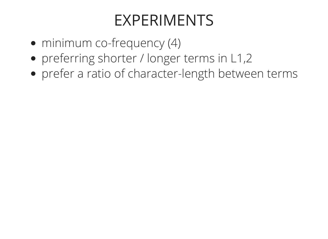#### EXPERIMENTS

- minimum co-frequency (4)
- preferring shorter / longer terms in L1,2
- prefer a ratio of character-length between terms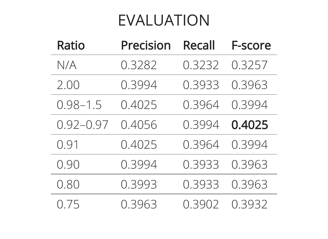#### EVALUATION

| <b>Ratio</b>  | <b>Precision</b> | <b>Recall</b> | <b>F-score</b> |
|---------------|------------------|---------------|----------------|
| N/A           | 0.3282           | 0.3232        | 0.3257         |
| 2.00          | 0.3994           | 0.3933        | 0.3963         |
| $0.98 - 1.5$  | 0.4025           | 0.3964        | 0.3994         |
| $0.92 - 0.97$ | 0.4056           | 0.3994        | 0.4025         |
| 0.91          | 0.4025           | 0.3964        | 0.3994         |
| 0.90          | 0.3994           | 0.3933        | 0.3963         |
| 0.80          | 0.3993           | 0.3933        | 0.3963         |
| 0.75          | 0.3963           | 0.3902        | 0.3932         |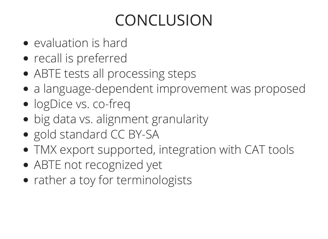# CONCLUSION

- evaluation is hard
- recall is preferred
- ABTE tests all processing steps
- a language-dependent improvement was proposed
- logDice vs. co-freq
- big data vs. alignment granularity
- gold standard CC BY-SA
- TMX export supported, integration with CAT tools
- ABTE not recognized yet
- rather a toy for terminologists